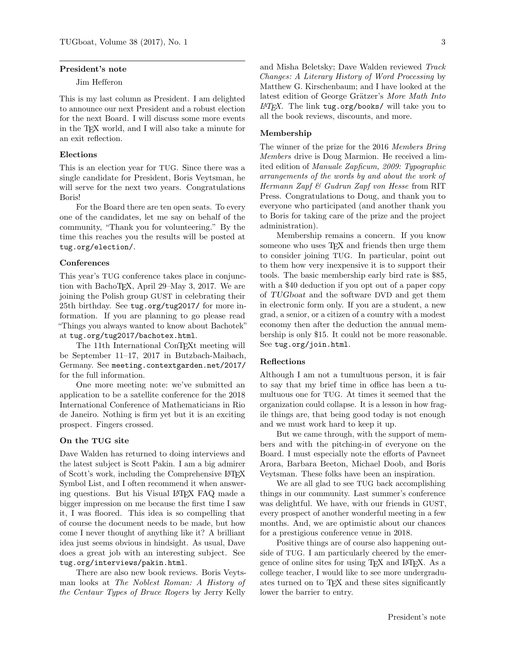# President's note

#### Jim Hefferon

This is my last column as President. I am delighted to announce our next President and a robust election for the next Board. I will discuss some more events in the T<sub>EX</sub> world, and I will also take a minute for an exit reflection.

# Elections

This is an election year for TUG. Since there was a single candidate for President, Boris Veytsman, he will serve for the next two years. Congratulations Boris!

For the Board there are ten open seats. To every one of the candidates, let me say on behalf of the community, "Thank you for volunteering." By the time this reaches you the results will be posted at tug.org/election/.

### Conferences

This year's TUG conference takes place in conjunction with BachoTEX, April 29–May 3, 2017. We are joining the Polish group GUST in celebrating their 25th birthday. See tug.org/tug2017/ for more information. If you are planning to go please read "Things you always wanted to know about Bachotek" at tug.org/tug2017/bachotex.html.

The 11th International ConTEXt meeting will be September 11–17, 2017 in Butzbach-Maibach, Germany. See meeting.contextgarden.net/2017/ for the full information.

One more meeting note: we've submitted an application to be a satellite conference for the 2018 International Conference of Mathematicians in Rio de Janeiro. Nothing is firm yet but it is an exciting prospect. Fingers crossed.

# On the TUG site

Dave Walden has returned to doing interviews and the latest subject is Scott Pakin. I am a big admirer of Scott's work, including the Comprehensive LATEX Symbol List, and I often recommend it when answering questions. But his Visual LATEX FAQ made a bigger impression on me because the first time I saw it, I was floored. This idea is so compelling that of course the document needs to be made, but how come I never thought of anything like it? A brilliant idea just seems obvious in hindsight. As usual, Dave does a great job with an interesting subject. See tug.org/interviews/pakin.html.

There are also new book reviews. Boris Veytsman looks at The Noblest Roman: A History of the Centaur Types of Bruce Rogers by Jerry Kelly and Misha Beletsky; Dave Walden reviewed Track Changes: A Literary History of Word Processing by Matthew G. Kirschenbaum; and I have looked at the latest edition of George Grätzer's More Math Into  $\mu T_F X$ . The link tug.org/books/ will take you to all the book reviews, discounts, and more.

### Membership

The winner of the prize for the 2016 Members Bring Members drive is Doug Marmion. He received a limited edition of Manuale Zapficum, 2009: Typographic arrangements of the words by and about the work of Hermann Zapf & Gudrun Zapf von Hesse from RIT Press. Congratulations to Doug, and thank you to everyone who participated (and another thank you to Boris for taking care of the prize and the project administration).

Membership remains a concern. If you know someone who uses T<sub>EX</sub> and friends then urge them to consider joining TUG. In particular, point out to them how very inexpensive it is to support their tools. The basic membership early bird rate is \$85, with a \$40 deduction if you opt out of a paper copy of TUGboat and the software DVD and get them in electronic form only. If you are a student, a new grad, a senior, or a citizen of a country with a modest economy then after the deduction the annual membership is only \$15. It could not be more reasonable. See tug.org/join.html.

#### Reflections

Although I am not a tumultuous person, it is fair to say that my brief time in office has been a tumultuous one for TUG. At times it seemed that the organization could collapse. It is a lesson in how fragile things are, that being good today is not enough and we must work hard to keep it up.

But we came through, with the support of members and with the pitching-in of everyone on the Board. I must especially note the efforts of Pavneet Arora, Barbara Beeton, Michael Doob, and Boris Veytsman. These folks have been an inspiration.

We are all glad to see TUG back accomplishing things in our community. Last summer's conference was delightful. We have, with our friends in GUST, every prospect of another wonderful meeting in a few months. And, we are optimistic about our chances for a prestigious conference venue in 2018.

Positive things are of course also happening outside of TUG. I am particularly cheered by the emergence of online sites for using T<sub>E</sub>X and L<sup>AT</sup>EX. As a college teacher, I would like to see more undergraduates turned on to TEX and these sites significantly lower the barrier to entry.